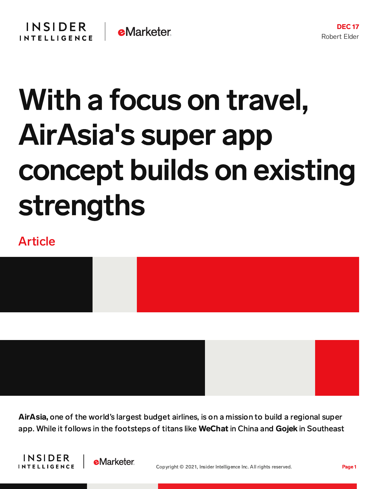## With a focus on travel, AirAsia's super app concept builds on existing strengths

## Article



AirAsia, one of the world's largest budget airlines, is on a mission to build a regional super app. While it follows in the footsteps of titans like WeChat in China and Gojek in Southeast



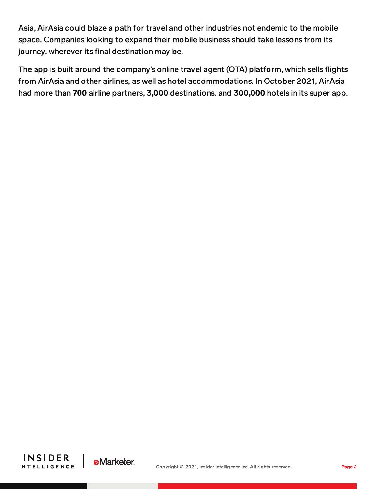Asia, AirAsia could blaze a path for travel and other industries not endemic to the mobile space. Companies looking to expand their mobile business should take lessons from its journey, wherever its final destination may be.

The app is built around the company's online travel agent (OTA) platform, which sells flights from AirAsia and other airlines, as well as hotel accommodations. In October 2021, AirAsia had more than 700 airline partners, 3,000 destinations, and 300,000 hotels in its super app.



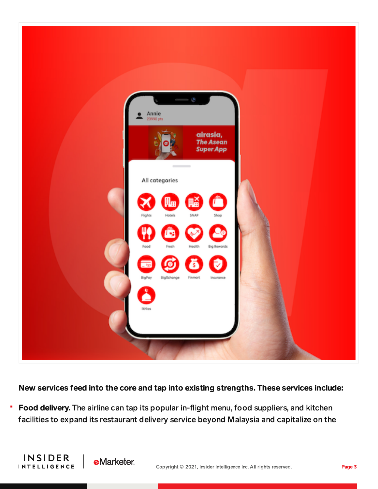

New services feed into the core and tap into existing strengths. These services include:

E Food delivery. The airline can tap its popular in-flight menu, food suppliers, and kitchen facilities to expand its restaurant delivery service beyond Malaysia and capitalize on the

**INSIDER** 

**INTELLIGENCE** 

**eMarketer**